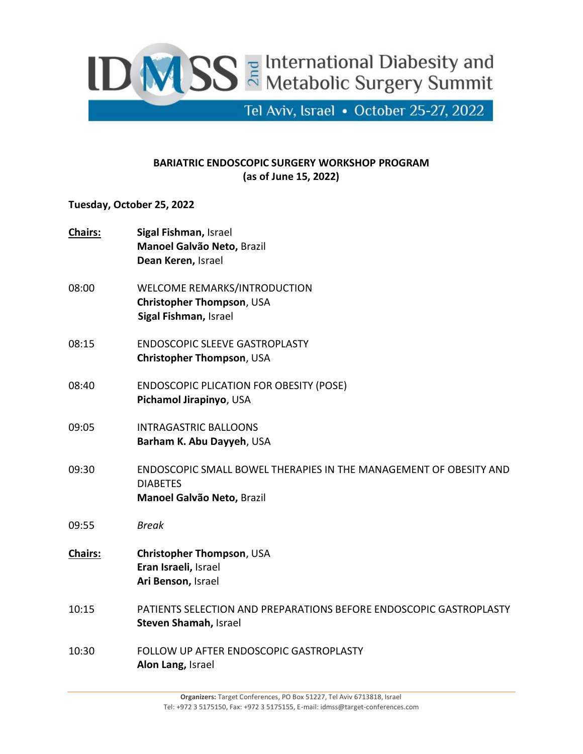

## **BARIATRIC ENDOSCOPIC SURGERY WORKSHOP PROGRAM (as of June 15, 2022)**

## **Tuesday, October 25, 2022**

| <b>Chairs:</b> | Sigal Fishman, Israel<br>Manoel Galvão Neto, Brazil<br>Dean Keren, Israel                                          |
|----------------|--------------------------------------------------------------------------------------------------------------------|
| 08:00          | WELCOME REMARKS/INTRODUCTION<br>Christopher Thompson, USA<br>Sigal Fishman, Israel                                 |
| 08:15          | <b>ENDOSCOPIC SLEEVE GASTROPLASTY</b><br>Christopher Thompson, USA                                                 |
| 08:40          | <b>ENDOSCOPIC PLICATION FOR OBESITY (POSE)</b><br>Pichamol Jirapinyo, USA                                          |
| 09:05          | <b>INTRAGASTRIC BALLOONS</b><br>Barham K. Abu Dayyeh, USA                                                          |
| 09:30          | ENDOSCOPIC SMALL BOWEL THERAPIES IN THE MANAGEMENT OF OBESITY AND<br><b>DIABETES</b><br>Manoel Galvão Neto, Brazil |
| 09:55          | <b>Break</b>                                                                                                       |
| <b>Chairs:</b> | Christopher Thompson, USA<br>Eran Israeli, Israel<br>Ari Benson, Israel                                            |
| 10:15          | PATIENTS SELECTION AND PREPARATIONS BEFORE ENDOSCOPIC GASTROPLASTY<br>Steven Shamah, Israel                        |
| 10:30          | FOLLOW UP AFTER ENDOSCOPIC GASTROPLASTY<br>Alon Lang, Israel                                                       |